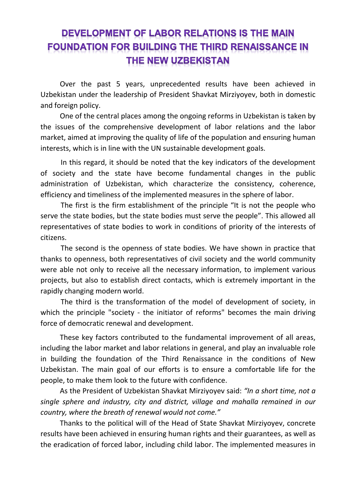## **DEVELOPMENT OF LABOR RELATIONS IS THE MAIN FOUNDATION FOR BUILDING THE THIRD RENAISSANCE IN** THE NEW UZBEKISTAN

Over the past 5 years, unprecedented results have been achieved in Uzbekistan under the leadership of President Shavkat Mirziyoyev, both in domestic and foreign policy.

One of the central places among the ongoing reforms in Uzbekistan is taken by the issues of the comprehensive development of labor relations and the labor market, aimed at improving the quality of life of the population and ensuring human interests, which is in line with the UN sustainable development goals.

In this regard, it should be noted that the key indicators of the development of society and the state have become fundamental changes in the public administration of Uzbekistan, which characterize the consistency, coherence, efficiency and timeliness of the implemented measures in the sphere of labor.

The first is the firm establishment of the principle "It is not the people who serve the state bodies, but the state bodies must serve the people". This allowed all representatives of state bodies to work in conditions of priority of the interests of citizens.

The second is the openness of state bodies. We have shown in practice that thanks to openness, both representatives of civil society and the world community were able not only to receive all the necessary information, to implement various projects, but also to establish direct contacts, which is extremely important in the rapidly changing modern world.

The third is the transformation of the model of development of society, in which the principle "society - the initiator of reforms" becomes the main driving force of democratic renewal and development.

These key factors contributed to the fundamental improvement of all areas, including the labor market and labor relations in general, and play an invaluable role in building the foundation of the Third Renaissance in the conditions of New Uzbekistan. The main goal of our efforts is to ensure a comfortable life for the people, to make them look to the future with confidence.

As the President of Uzbekistan Shavkat Mirziyoyev said: *"In a short time, not a single sphere and industry, city and district, village and mahalla remained in our country, where the breath of renewal would not come."*

Thanks to the political will of the Head of State Shavkat Mirziyoyev, concrete results have been achieved in ensuring human rights and their guarantees, as well as the eradication of forced labor, including child labor. The implemented measures in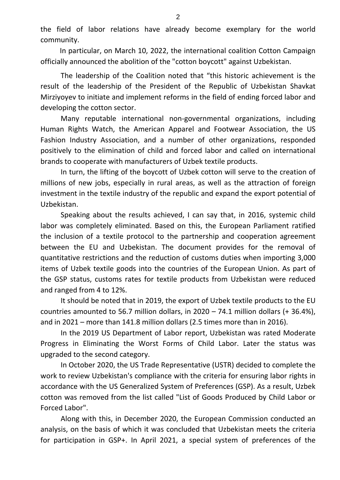the field of labor relations have already become exemplary for the world community.

In particular, on March 10, 2022, the international coalition Cotton Campaign officially announced the abolition of the "cotton boycott" against Uzbekistan.

The leadership of the Coalition noted that "this historic achievement is the result of the leadership of the President of the Republic of Uzbekistan Shavkat Mirziyoyev to initiate and implement reforms in the field of ending forced labor and developing the cotton sector.

Many reputable international non-governmental organizations, including Human Rights Watch, the American Apparel and Footwear Association, the US Fashion Industry Association, and a number of other organizations, responded positively to the elimination of child and forced labor and called on international brands to cooperate with manufacturers of Uzbek textile products.

In turn, the lifting of the boycott of Uzbek cotton will serve to the creation of millions of new jobs, especially in rural areas, as well as the attraction of foreign investment in the textile industry of the republic and expand the export potential of Uzbekistan.

Speaking about the results achieved, I can say that, in 2016, systemic child labor was completely eliminated. Based on this, the European Parliament ratified the inclusion of a textile protocol to the partnership and cooperation agreement between the EU and Uzbekistan. The document provides for the removal of quantitative restrictions and the reduction of customs duties when importing 3,000 items of Uzbek textile goods into the countries of the European Union. As part of the GSP status, customs rates for textile products from Uzbekistan were reduced and ranged from 4 to 12%.

It should be noted that in 2019, the export of Uzbek textile products to the EU countries amounted to 56.7 million dollars, in 2020 – 74.1 million dollars (+ 36.4%), and in 2021 – more than 141.8 million dollars (2.5 times more than in 2016).

In the 2019 US Department of Labor report, Uzbekistan was rated Moderate Progress in Eliminating the Worst Forms of Child Labor. Later the status was upgraded to the second category.

In October 2020, the US Trade Representative (USTR) decided to complete the work to review Uzbekistan's compliance with the criteria for ensuring labor rights in accordance with the US Generalized System of Preferences (GSP). As a result, Uzbek cotton was removed from the list called "List of Goods Produced by Child Labor or Forced Labor".

Along with this, in December 2020, the European Commission conducted an analysis, on the basis of which it was concluded that Uzbekistan meets the criteria for participation in GSP+. In April 2021, a special system of preferences of the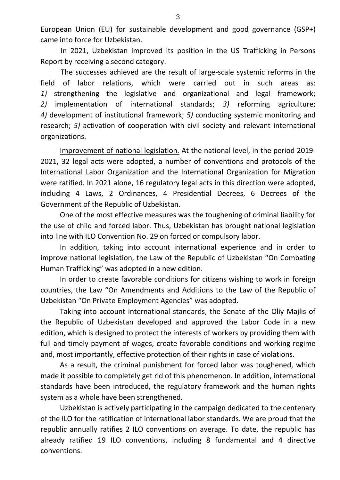European Union (EU) for sustainable development and good governance (GSP+) came into force for Uzbekistan.

In 2021, Uzbekistan improved its position in the US Trafficking in Persons Report by receiving a second category.

The successes achieved are the result of large-scale systemic reforms in the field of labor relations, which were carried out in such areas as: *1)* strengthening the legislative and organizational and legal framework; *2)* implementation of international standards; *3)* reforming agriculture; *4)* development of institutional framework; *5)* conducting systemic monitoring and research; *5)* activation of cooperation with civil society and relevant international organizations.

Improvement of national legislation. At the national level, in the period 2019- 2021, 32 legal acts were adopted, a number of conventions and protocols of the International Labor Organization and the International Organization for Migration were ratified. In 2021 alone, 16 regulatory legal acts in this direction were adopted, including 4 Laws, 2 Ordinances, 4 Presidential Decrees, 6 Decrees of the Government of the Republic of Uzbekistan.

One of the most effective measures was the toughening of criminal liability for the use of child and forced labor. Thus, Uzbekistan has brought national legislation into line with ILO Convention No. 29 on forced or compulsory labor.

In addition, taking into account international experience and in order to improve national legislation, the Law of the Republic of Uzbekistan "On Combating Human Trafficking" was adopted in a new edition.

In order to create favorable conditions for citizens wishing to work in foreign countries, the Law "On Amendments and Additions to the Law of the Republic of Uzbekistan "On Private Employment Agencies" was adopted.

Taking into account international standards, the Senate of the Oliy Majlis of the Republic of Uzbekistan developed and approved the Labor Code in a new edition, which is designed to protect the interests of workers by providing them with full and timely payment of wages, create favorable conditions and working regime and, most importantly, effective protection of their rights in case of violations.

As a result, the criminal punishment for forced labor was toughened, which made it possible to completely get rid of this phenomenon. In addition, international standards have been introduced, the regulatory framework and the human rights system as a whole have been strengthened.

Uzbekistan is actively participating in the campaign dedicated to the centenary of the ILO for the ratification of international labor standards. We are proud that the republic annually ratifies 2 ILO conventions on average. To date, the republic has already ratified 19 ILO conventions, including 8 fundamental and 4 directive conventions.

3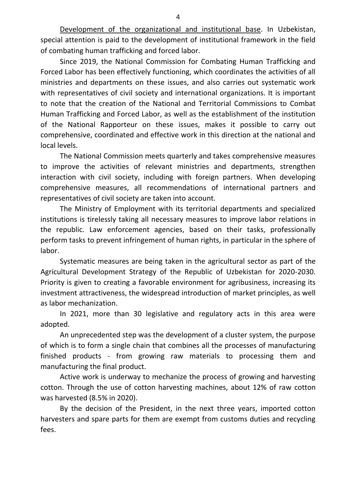Development of the organizational and institutional base. In Uzbekistan, special attention is paid to the development of institutional framework in the field of combating human trafficking and forced labor.

Since 2019, the National Commission for Combating Human Trafficking and Forced Labor has been effectively functioning, which coordinates the activities of all ministries and departments on these issues, and also carries out systematic work with representatives of civil society and international organizations. It is important to note that the creation of the National and Territorial Commissions to Combat Human Trafficking and Forced Labor, as well as the establishment of the institution of the National Rapporteur on these issues, makes it possible to carry out comprehensive, coordinated and effective work in this direction at the national and local levels.

The National Commission meets quarterly and takes comprehensive measures to improve the activities of relevant ministries and departments, strengthen interaction with civil society, including with foreign partners. When developing comprehensive measures, all recommendations of international partners and representatives of civil society are taken into account.

The Ministry of Employment with its territorial departments and specialized institutions is tirelessly taking all necessary measures to improve labor relations in the republic. Law enforcement agencies, based on their tasks, professionally perform tasks to prevent infringement of human rights, in particular in the sphere of labor.

Systematic measures are being taken in the agricultural sector as part of the Agricultural Development Strategy of the Republic of Uzbekistan for 2020-2030. Priority is given to creating a favorable environment for agribusiness, increasing its investment attractiveness, the widespread introduction of market principles, as well as labor mechanization.

In 2021, more than 30 legislative and regulatory acts in this area were adopted.

An unprecedented step was the development of a cluster system, the purpose of which is to form a single chain that combines all the processes of manufacturing finished products - from growing raw materials to processing them and manufacturing the final product.

Active work is underway to mechanize the process of growing and harvesting cotton. Through the use of cotton harvesting machines, about 12% of raw cotton was harvested (8.5% in 2020).

By the decision of the President, in the next three years, imported cotton harvesters and spare parts for them are exempt from customs duties and recycling fees.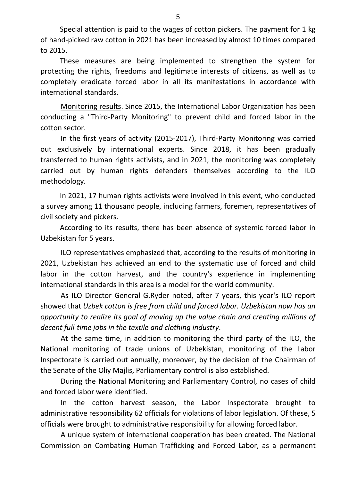Special attention is paid to the wages of cotton pickers. The payment for 1 kg of hand-picked raw cotton in 2021 has been increased by almost 10 times compared to 2015.

These measures are being implemented to strengthen the system for protecting the rights, freedoms and legitimate interests of citizens, as well as to completely eradicate forced labor in all its manifestations in accordance with international standards.

Monitoring results. Since 2015, the International Labor Organization has been conducting a "Third-Party Monitoring" to prevent child and forced labor in the cotton sector.

In the first years of activity (2015-2017), Third-Party Monitoring was carried out exclusively by international experts. Since 2018, it has been gradually transferred to human rights activists, and in 2021, the monitoring was completely carried out by human rights defenders themselves according to the ILO methodology.

In 2021, 17 human rights activists were involved in this event, who conducted a survey among 11 thousand people, including farmers, foremen, representatives of civil society and pickers.

According to its results, there has been absence of systemic forced labor in Uzbekistan for 5 years.

ILO representatives emphasized that, according to the results of monitoring in 2021, Uzbekistan has achieved an end to the systematic use of forced and child labor in the cotton harvest, and the country's experience in implementing international standards in this area is a model for the world community.

As ILO Director General G.Ryder noted, after 7 years, this year's ILO report showed that *Uzbek cotton is free from child and forced labor. Uzbekistan now has an opportunity to realize its goal of moving up the value chain and creating millions of decent full-time jobs in the textile and clothing industry*.

At the same time, in addition to monitoring the third party of the ILO, the National monitoring of trade unions of Uzbekistan, monitoring of the Labor Inspectorate is carried out annually, moreover, by the decision of the Chairman of the Senate of the Oliy Majlis, Parliamentary control is also established.

During the National Monitoring and Parliamentary Control, no cases of child and forced labor were identified.

In the cotton harvest season, the Labor Inspectorate brought to administrative responsibility 62 officials for violations of labor legislation. Of these, 5 officials were brought to administrative responsibility for allowing forced labor.

A unique system of international cooperation has been created. The National Commission on Combating Human Trafficking and Forced Labor, as a permanent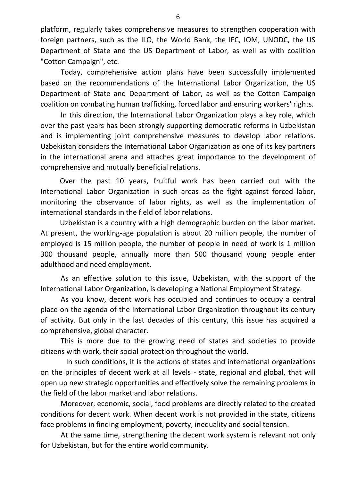platform, regularly takes comprehensive measures to strengthen cooperation with foreign partners, such as the ILO, the World Bank, the IFC, IOM, UNODC, the US Department of State and the US Department of Labor, as well as with coalition "Cotton Campaign", etc.

Today, comprehensive action plans have been successfully implemented based on the recommendations of the International Labor Organization, the US Department of State and Department of Labor, as well as the Cotton Campaign coalition on combating human trafficking, forced labor and ensuring workers' rights.

In this direction, the International Labor Organization plays a key role, which over the past years has been strongly supporting democratic reforms in Uzbekistan and is implementing joint comprehensive measures to develop labor relations. Uzbekistan considers the International Labor Organization as one of its key partners in the international arena and attaches great importance to the development of comprehensive and mutually beneficial relations.

Over the past 10 years, fruitful work has been carried out with the International Labor Organization in such areas as the fight against forced labor, monitoring the observance of labor rights, as well as the implementation of international standards in the field of labor relations.

Uzbekistan is a country with a high demographic burden on the labor market. At present, the working-age population is about 20 million people, the number of employed is 15 million people, the number of people in need of work is 1 million 300 thousand people, annually more than 500 thousand young people enter adulthood and need employment.

As an effective solution to this issue, Uzbekistan, with the support of the International Labor Organization, is developing a National Employment Strategy.

As you know, decent work has occupied and continues to occupy a central place on the agenda of the International Labor Organization throughout its century of activity. But only in the last decades of this century, this issue has acquired a comprehensive, global character.

This is more due to the growing need of states and societies to provide citizens with work, their social protection throughout the world.

 In such conditions, it is the actions of states and international organizations on the principles of decent work at all levels - state, regional and global, that will open up new strategic opportunities and effectively solve the remaining problems in the field of the labor market and labor relations.

Moreover, economic, social, food problems are directly related to the created conditions for decent work. When decent work is not provided in the state, citizens face problems in finding employment, poverty, inequality and social tension.

At the same time, strengthening the decent work system is relevant not only for Uzbekistan, but for the entire world community.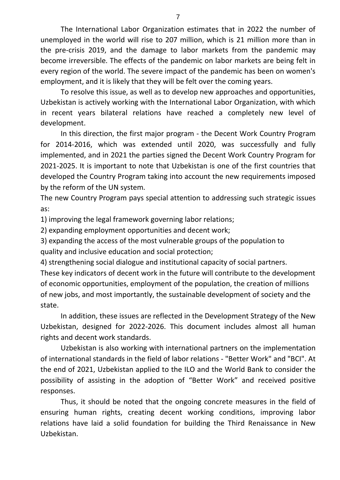The International Labor Organization estimates that in 2022 the number of unemployed in the world will rise to 207 million, which is 21 million more than in the pre-crisis 2019, and the damage to labor markets from the pandemic may become irreversible. The effects of the pandemic on labor markets are being felt in every region of the world. The severe impact of the pandemic has been on women's employment, and it is likely that they will be felt over the coming years.

To resolve this issue, as well as to develop new approaches and opportunities, Uzbekistan is actively working with the International Labor Organization, with which in recent years bilateral relations have reached a completely new level of development.

In this direction, the first major program - the Decent Work Country Program for 2014-2016, which was extended until 2020, was successfully and fully implemented, and in 2021 the parties signed the Decent Work Country Program for 2021-2025. It is important to note that Uzbekistan is one of the first countries that developed the Country Program taking into account the new requirements imposed by the reform of the UN system.

The new Country Program pays special attention to addressing such strategic issues as:

1) improving the legal framework governing labor relations;

2) expanding employment opportunities and decent work;

3) expanding the access of the most vulnerable groups of the population to quality and inclusive education and social protection;

4) strengthening social dialogue and institutional capacity of social partners.

These key indicators of decent work in the future will contribute to the development of economic opportunities, employment of the population, the creation of millions of new jobs, and most importantly, the sustainable development of society and the state.

In addition, these issues are reflected in the Development Strategy of the New Uzbekistan, designed for 2022-2026. This document includes almost all human rights and decent work standards.

Uzbekistan is also working with international partners on the implementation of international standards in the field of labor relations - "Better Work" and "BCI". At the end of 2021, Uzbekistan applied to the ILO and the World Bank to consider the possibility of assisting in the adoption of "Better Work" and received positive responses.

Thus, it should be noted that the ongoing concrete measures in the field of ensuring human rights, creating decent working conditions, improving labor relations have laid a solid foundation for building the Third Renaissance in New Uzbekistan.